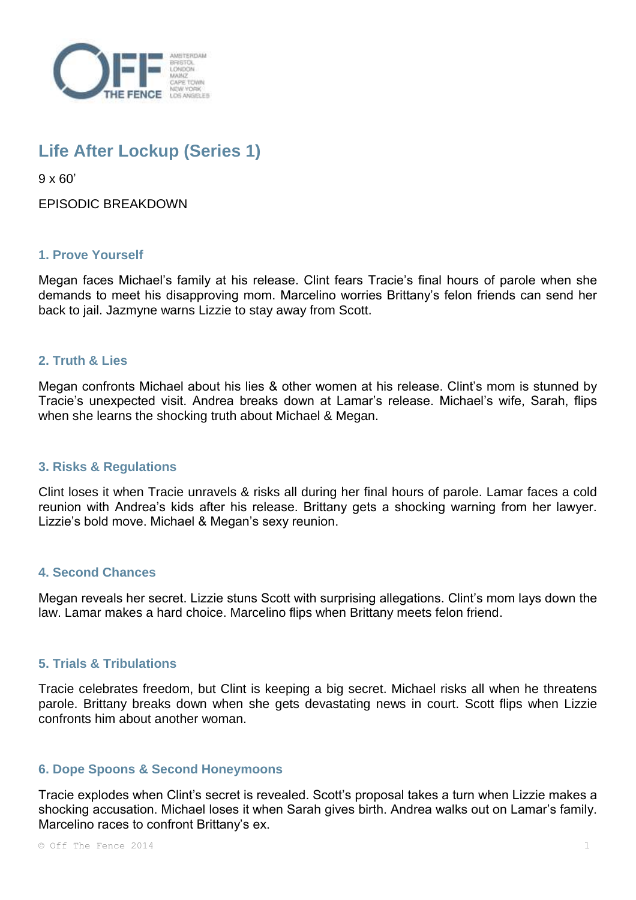

# **Life After Lockup (Series 1)**

 $9 \times 60'$ 

EPISODIC BREAKDOWN

## **1. Prove Yourself**

Megan faces Michael's family at his release. Clint fears Tracie's final hours of parole when she demands to meet his disapproving mom. Marcelino worries Brittany's felon friends can send her back to jail. Jazmyne warns Lizzie to stay away from Scott.

#### **2. Truth & Lies**

Megan confronts Michael about his lies & other women at his release. Clint's mom is stunned by Tracie's unexpected visit. Andrea breaks down at Lamar's release. Michael's wife, Sarah, flips when she learns the shocking truth about Michael & Megan.

#### **3. Risks & Regulations**

Clint loses it when Tracie unravels & risks all during her final hours of parole. Lamar faces a cold reunion with Andrea's kids after his release. Brittany gets a shocking warning from her lawyer. Lizzie's bold move. Michael & Megan's sexy reunion.

#### **4. Second Chances**

Megan reveals her secret. Lizzie stuns Scott with surprising allegations. Clint's mom lays down the law. Lamar makes a hard choice. Marcelino flips when Brittany meets felon friend.

#### **5. Trials & Tribulations**

Tracie celebrates freedom, but Clint is keeping a big secret. Michael risks all when he threatens parole. Brittany breaks down when she gets devastating news in court. Scott flips when Lizzie confronts him about another woman.

#### **6. Dope Spoons & Second Honeymoons**

Tracie explodes when Clint's secret is revealed. Scott's proposal takes a turn when Lizzie makes a shocking accusation. Michael loses it when Sarah gives birth. Andrea walks out on Lamar's family. Marcelino races to confront Brittany's ex.